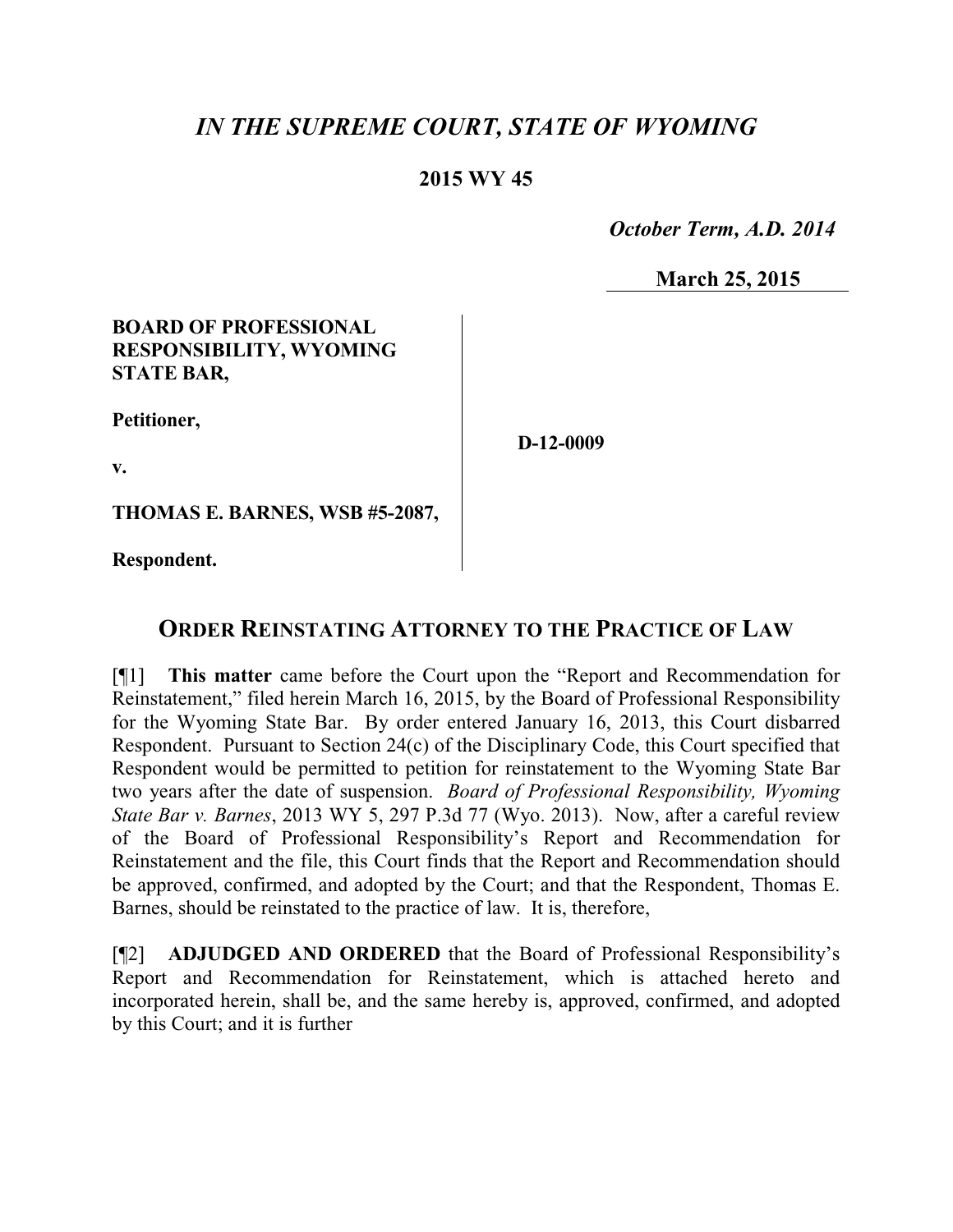# *IN THE SUPREME COURT, STATE OF WYOMING*

# **2015 WY 45**

 *October Term, A.D. 2014*

**March 25, 2015**

### **BOARD OF PROFESSIONAL RESPONSIBILITY, WYOMING STATE BAR,**

**Petitioner,**

**D-12-0009**

**v.**

**THOMAS E. BARNES, WSB #5-2087,**

**Respondent.**

# **ORDER REINSTATING ATTORNEY TO THE PRACTICE OF LAW**

[¶1] **This matter** came before the Court upon the "Report and Recommendation for Reinstatement," filed herein March 16, 2015, by the Board of Professional Responsibility for the Wyoming State Bar. By order entered January 16, 2013, this Court disbarred Respondent. Pursuant to Section 24(c) of the Disciplinary Code, this Court specified that Respondent would be permitted to petition for reinstatement to the Wyoming State Bar two years after the date of suspension. *Board of Professional Responsibility, Wyoming State Bar v. Barnes*, 2013 WY 5, 297 P.3d 77 (Wyo. 2013). Now, after a careful review of the Board of Professional Responsibility's Report and Recommendation for Reinstatement and the file, this Court finds that the Report and Recommendation should be approved, confirmed, and adopted by the Court; and that the Respondent, Thomas E. Barnes, should be reinstated to the practice of law. It is, therefore,

[¶2] **ADJUDGED AND ORDERED** that the Board of Professional Responsibility's Report and Recommendation for Reinstatement, which is attached hereto and incorporated herein, shall be, and the same hereby is, approved, confirmed, and adopted by this Court; and it is further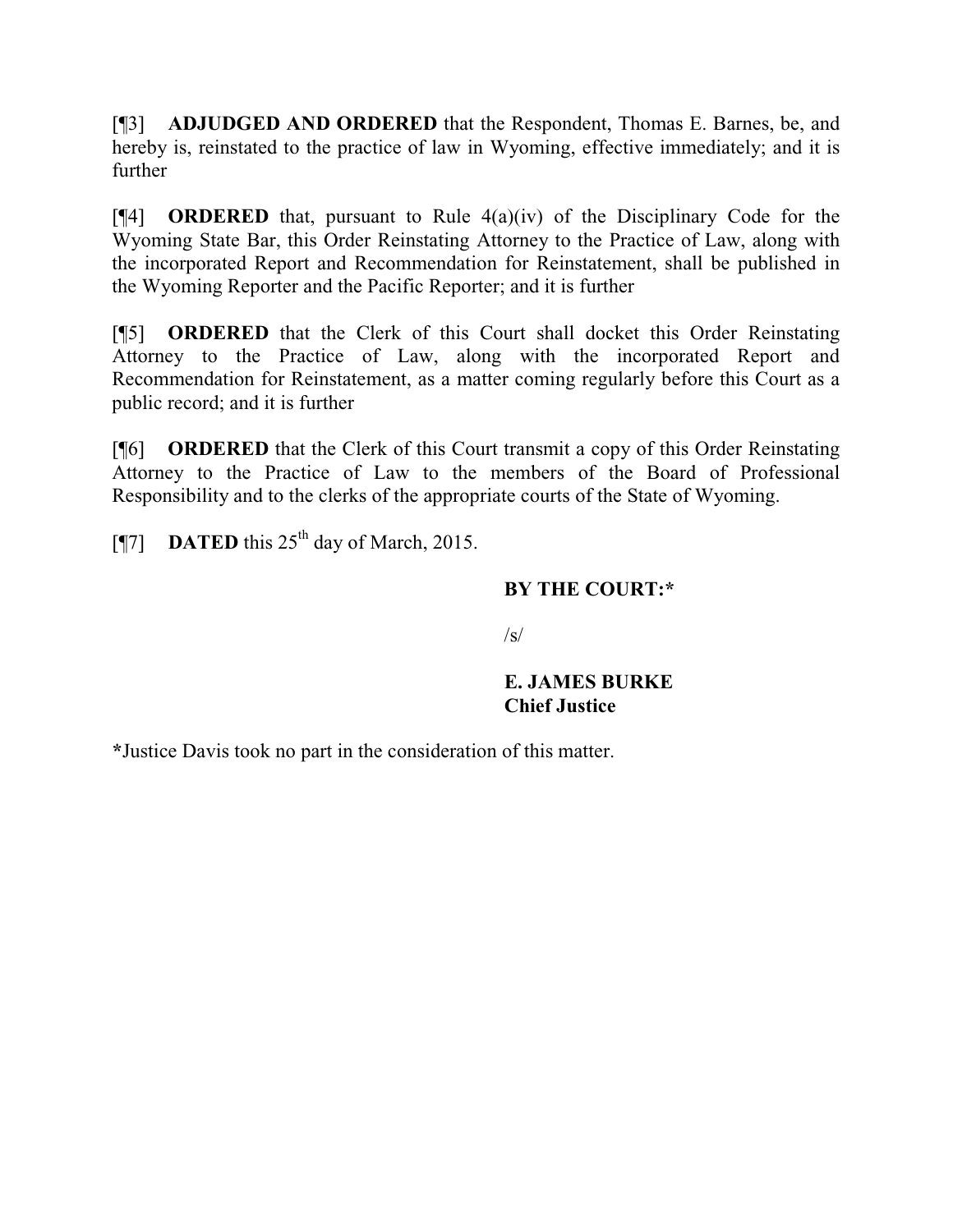[¶3] **ADJUDGED AND ORDERED** that the Respondent, Thomas E. Barnes, be, and hereby is, reinstated to the practice of law in Wyoming, effective immediately; and it is further

[¶4] **ORDERED** that, pursuant to Rule 4(a)(iv) of the Disciplinary Code for the Wyoming State Bar, this Order Reinstating Attorney to the Practice of Law, along with the incorporated Report and Recommendation for Reinstatement, shall be published in the Wyoming Reporter and the Pacific Reporter; and it is further

[¶5] **ORDERED** that the Clerk of this Court shall docket this Order Reinstating Attorney to the Practice of Law, along with the incorporated Report and Recommendation for Reinstatement, as a matter coming regularly before this Court as a public record; and it is further

[¶6] **ORDERED** that the Clerk of this Court transmit a copy of this Order Reinstating Attorney to the Practice of Law to the members of the Board of Professional Responsibility and to the clerks of the appropriate courts of the State of Wyoming.

 $[$ ¶7] **DATED** this 25<sup>th</sup> day of March, 2015.

## **BY THE COURT:\***

 $\sqrt{s}$ 

### **E. JAMES BURKE Chief Justice**

**\***Justice Davis took no part in the consideration of this matter.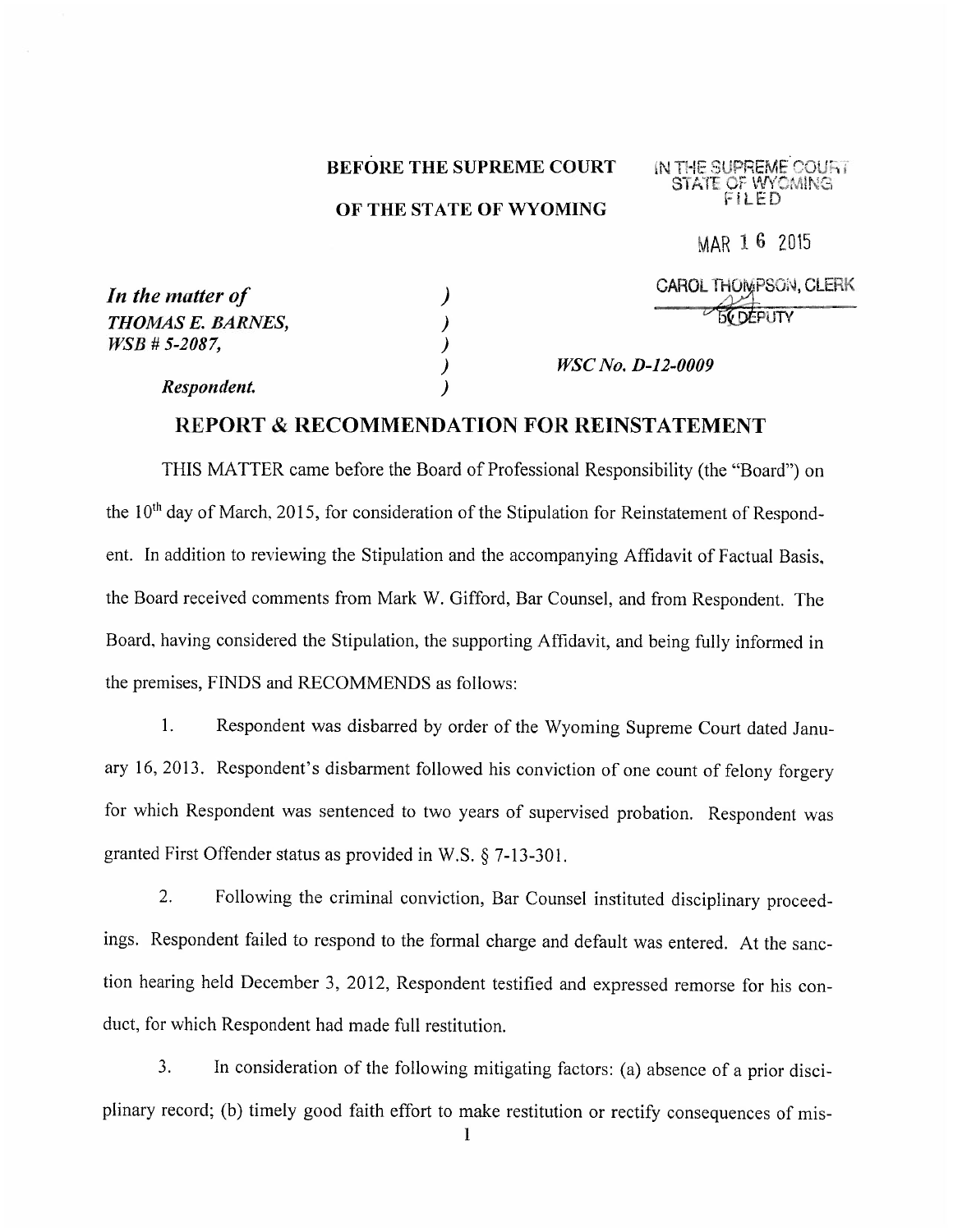#### **BEFORE THE SUPREME COURT**

### OF THE STATE OF WYOMING

IN THE SUPREME COURT

MAR 1 6 2015

| In the matter of  | <b>CAROL THOMPSON, CLERK</b> |
|-------------------|------------------------------|
| THOMAS E. BARNES, | <b>BY DEPUTY</b>             |
| $WSB + 5-2087$ ,  |                              |
|                   | <i>WSC No. D-12-0009</i>     |
| Respondent.       |                              |

### **REPORT & RECOMMENDATION FOR REINSTATEMENT**

THIS MATTER came before the Board of Professional Responsibility (the "Board") on the 10<sup>th</sup> day of March, 2015, for consideration of the Stipulation for Reinstatement of Respondent. In addition to reviewing the Stipulation and the accompanying Affidavit of Factual Basis, the Board received comments from Mark W. Gifford, Bar Counsel, and from Respondent. The Board, having considered the Stipulation, the supporting Affidavit, and being fully informed in the premises, FINDS and RECOMMENDS as follows:

 $1<sub>1</sub>$ Respondent was disbarred by order of the Wyoming Supreme Court dated January 16, 2013. Respondent's disbarment followed his conviction of one count of felony forgery for which Respondent was sentenced to two years of supervised probation. Respondent was granted First Offender status as provided in W.S. § 7-13-301.

Following the criminal conviction, Bar Counsel instituted disciplinary proceed-2. ings. Respondent failed to respond to the formal charge and default was entered. At the sanction hearing held December 3, 2012, Respondent testified and expressed remorse for his conduct, for which Respondent had made full restitution.

 $3.$ In consideration of the following mitigating factors: (a) absence of a prior disciplinary record; (b) timely good faith effort to make restitution or rectify consequences of mis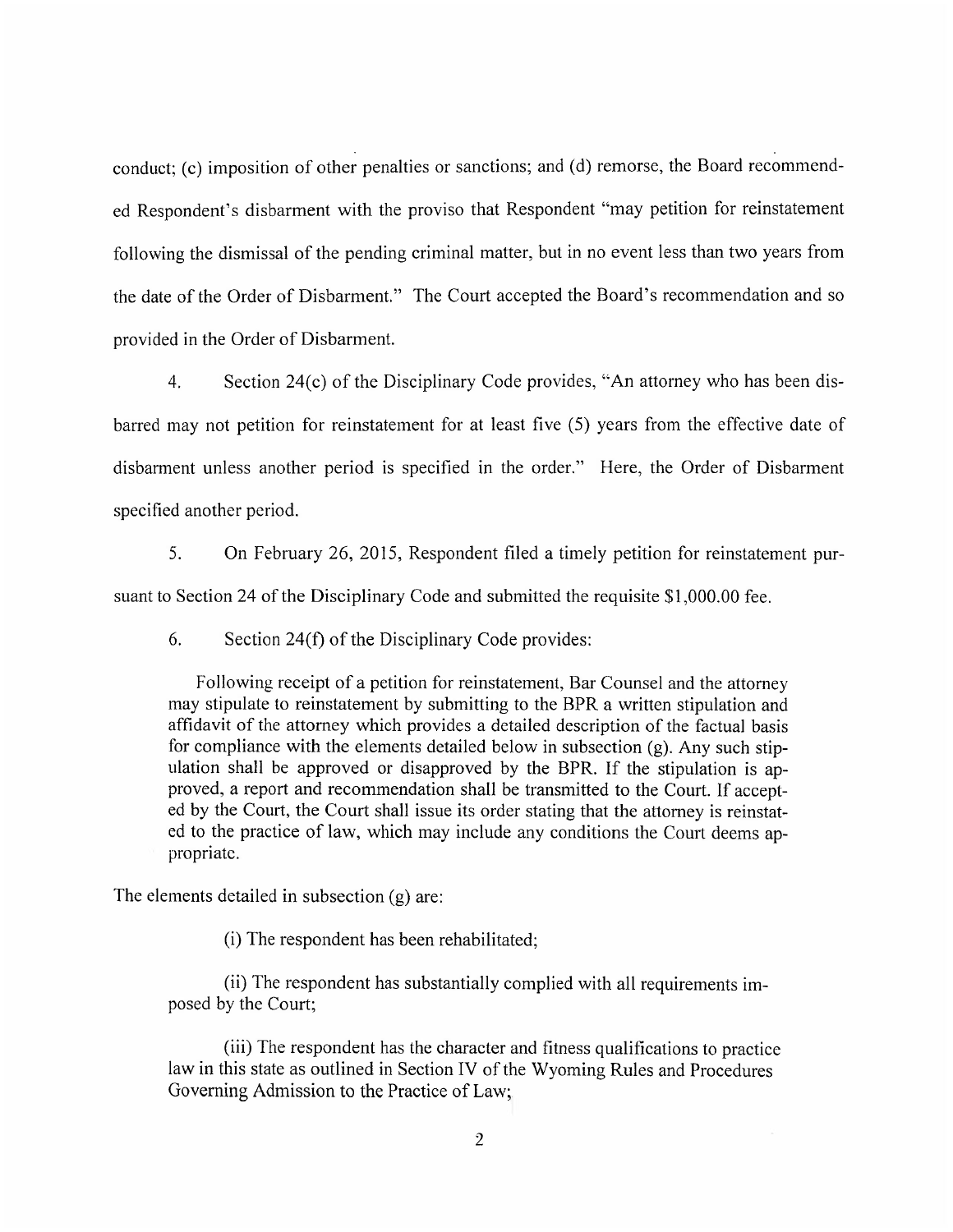conduct; (c) imposition of other penalties or sanctions; and (d) remorse, the Board recommended Respondent's disbarment with the proviso that Respondent "may petition for reinstatement" following the dismissal of the pending criminal matter, but in no event less than two years from the date of the Order of Disbarment." The Court accepted the Board's recommendation and so provided in the Order of Disbarment.

 $\overline{4}$ . Section 24(c) of the Disciplinary Code provides, "An attorney who has been disbarred may not petition for reinstatement for at least five (5) years from the effective date of disbarment unless another period is specified in the order." Here, the Order of Disbarment specified another period.

5. On February 26, 2015, Respondent filed a timely petition for reinstatement pur-

suant to Section 24 of the Disciplinary Code and submitted the requisite \$1,000.00 fee.

6. Section 24(f) of the Disciplinary Code provides:

Following receipt of a petition for reinstatement, Bar Counsel and the attorney may stipulate to reinstatement by submitting to the BPR a written stipulation and affidavit of the attorney which provides a detailed description of the factual basis for compliance with the elements detailed below in subsection  $(g)$ . Any such stipulation shall be approved or disapproved by the BPR. If the stipulation is approved, a report and recommendation shall be transmitted to the Court. If accepted by the Court, the Court shall issue its order stating that the attorney is reinstated to the practice of law, which may include any conditions the Court deems appropriate.

The elements detailed in subsection (g) are:

(i) The respondent has been rehabilitated;

(ii) The respondent has substantially complied with all requirements imposed by the Court;

(iii) The respondent has the character and fitness qualifications to practice law in this state as outlined in Section IV of the Wyoming Rules and Procedures Governing Admission to the Practice of Law: